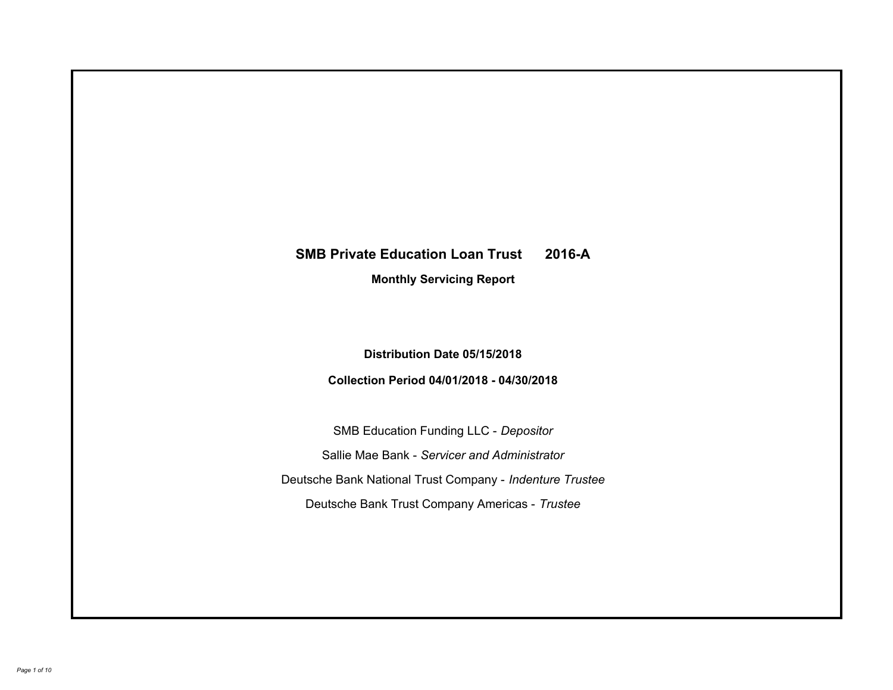# **SMB Private Education Loan Trust 2016-A Monthly Servicing Report**

## **Distribution Date 05/15/2018**

# **Collection Period 04/01/2018 - 04/30/2018**

SMB Education Funding LLC - *Depositor* Sallie Mae Bank - *Servicer and Administrator* Deutsche Bank National Trust Company - *Indenture Trustee* Deutsche Bank Trust Company Americas - *Trustee*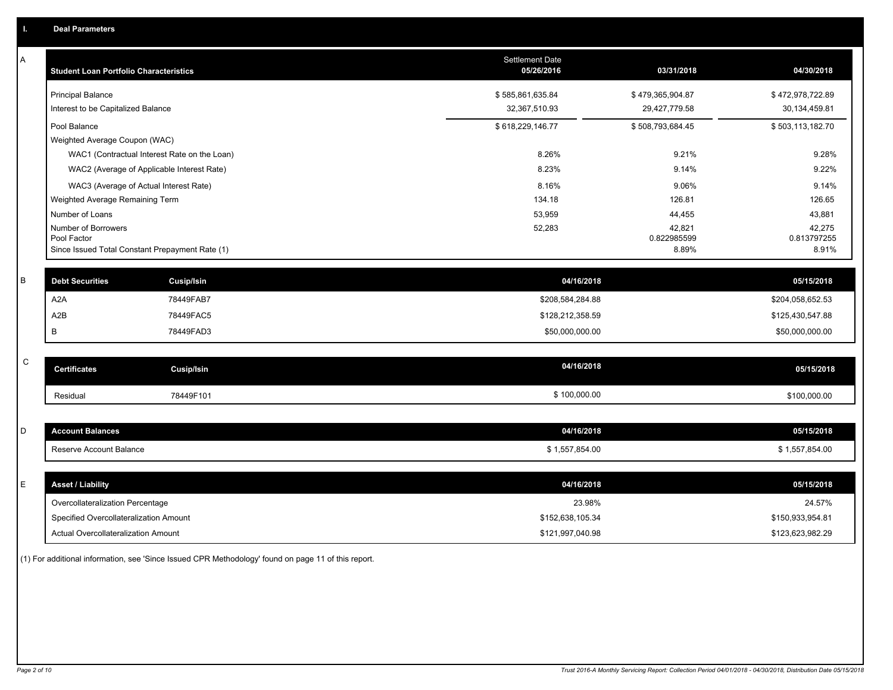| Α           | <b>Student Loan Portfolio Characteristics</b> |                                                 | <b>Settlement Date</b><br>05/26/2016 | 03/31/2018           | 04/30/2018           |
|-------------|-----------------------------------------------|-------------------------------------------------|--------------------------------------|----------------------|----------------------|
|             | <b>Principal Balance</b>                      |                                                 | \$585,861,635.84                     | \$479,365,904.87     | \$472,978,722.89     |
|             | Interest to be Capitalized Balance            |                                                 | 32,367,510.93                        | 29,427,779.58        | 30,134,459.81        |
|             | Pool Balance                                  |                                                 | \$618,229,146.77                     | \$508,793,684.45     | \$503,113,182.70     |
|             | Weighted Average Coupon (WAC)                 |                                                 |                                      |                      |                      |
|             |                                               | WAC1 (Contractual Interest Rate on the Loan)    | 8.26%                                | 9.21%                | 9.28%                |
|             |                                               | WAC2 (Average of Applicable Interest Rate)      | 8.23%                                | 9.14%                | 9.22%                |
|             |                                               | WAC3 (Average of Actual Interest Rate)          | 8.16%                                | 9.06%                | 9.14%                |
|             | Weighted Average Remaining Term               |                                                 | 134.18                               | 126.81               | 126.65               |
|             | Number of Loans                               |                                                 | 53,959                               | 44,455               | 43,881               |
|             | Number of Borrowers                           |                                                 | 52,283                               | 42,821               | 42,275               |
|             | Pool Factor                                   | Since Issued Total Constant Prepayment Rate (1) |                                      | 0.822985599<br>8.89% | 0.813797255<br>8.91% |
|             |                                               |                                                 |                                      |                      |                      |
| B           | <b>Debt Securities</b>                        | <b>Cusip/Isin</b>                               | 04/16/2018                           |                      | 05/15/2018           |
|             | A <sub>2</sub> A                              | 78449FAB7                                       | \$208,584,284.88                     |                      | \$204,058,652.53     |
|             | A2B                                           | 78449FAC5                                       | \$128,212,358.59                     |                      | \$125,430,547.88     |
|             | B                                             | 78449FAD3                                       | \$50,000,000.00                      |                      | \$50,000,000.00      |
|             |                                               |                                                 |                                      |                      |                      |
| $\mathsf C$ | <b>Certificates</b>                           | <b>Cusip/Isin</b>                               | 04/16/2018                           |                      | 05/15/2018           |
|             | Residual                                      | 78449F101                                       | \$100,000.00                         |                      | \$100,000.00         |
|             |                                               |                                                 |                                      |                      |                      |
| D           | <b>Account Balances</b>                       |                                                 | 04/16/2018                           |                      | 05/15/2018           |
|             | Reserve Account Balance                       |                                                 | \$1,557,854.00                       |                      | \$1,557,854.00       |
|             |                                               |                                                 |                                      |                      |                      |
| E           | <b>Asset / Liability</b>                      |                                                 | 04/16/2018                           |                      | 05/15/2018           |
|             | Overcollateralization Percentage              |                                                 | 23.98%                               |                      | 24.57%               |
|             | Specified Overcollateralization Amount        |                                                 | \$152,638,105.34                     |                      | \$150,933,954.81     |
|             | Actual Overcollateralization Amount           |                                                 | \$121,997,040.98                     |                      | \$123,623,982.29     |

(1) For additional information, see 'Since Issued CPR Methodology' found on page 11 of this report.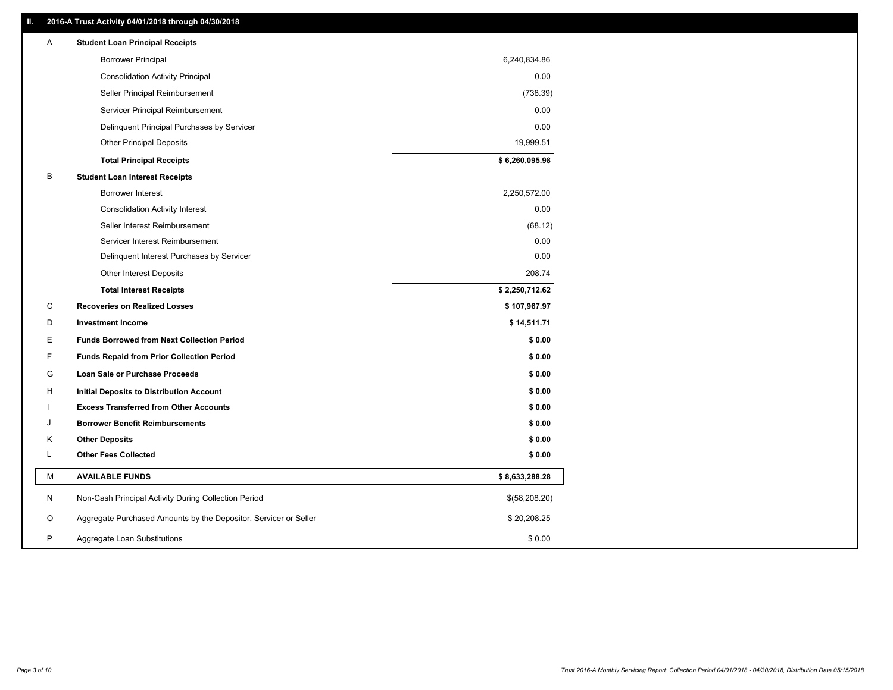### **II. 2016-A Trust Activity 04/01/2018 through 04/30/2018**

| Α | <b>Student Loan Principal Receipts</b>                           |                |  |
|---|------------------------------------------------------------------|----------------|--|
|   | <b>Borrower Principal</b>                                        | 6,240,834.86   |  |
|   | <b>Consolidation Activity Principal</b>                          | 0.00           |  |
|   | Seller Principal Reimbursement                                   | (738.39)       |  |
|   | Servicer Principal Reimbursement                                 | 0.00           |  |
|   | Delinquent Principal Purchases by Servicer                       | 0.00           |  |
|   | <b>Other Principal Deposits</b>                                  | 19,999.51      |  |
|   | <b>Total Principal Receipts</b>                                  | \$6,260,095.98 |  |
| В | <b>Student Loan Interest Receipts</b>                            |                |  |
|   | Borrower Interest                                                | 2,250,572.00   |  |
|   | <b>Consolidation Activity Interest</b>                           | 0.00           |  |
|   | Seller Interest Reimbursement                                    | (68.12)        |  |
|   | Servicer Interest Reimbursement                                  | 0.00           |  |
|   | Delinquent Interest Purchases by Servicer                        | 0.00           |  |
|   | <b>Other Interest Deposits</b>                                   | 208.74         |  |
|   | <b>Total Interest Receipts</b>                                   | \$2,250,712.62 |  |
| C | <b>Recoveries on Realized Losses</b>                             | \$107,967.97   |  |
| D | <b>Investment Income</b>                                         | \$14,511.71    |  |
| E | <b>Funds Borrowed from Next Collection Period</b>                | \$0.00         |  |
| F | <b>Funds Repaid from Prior Collection Period</b>                 | \$0.00         |  |
| G | Loan Sale or Purchase Proceeds                                   | \$0.00         |  |
| н | Initial Deposits to Distribution Account                         | \$0.00         |  |
|   | <b>Excess Transferred from Other Accounts</b>                    | \$0.00         |  |
| J | <b>Borrower Benefit Reimbursements</b>                           | \$0.00         |  |
| Κ | <b>Other Deposits</b>                                            | \$0.00         |  |
| L | <b>Other Fees Collected</b>                                      | \$0.00         |  |
| М | <b>AVAILABLE FUNDS</b>                                           | \$8,633,288.28 |  |
| N | Non-Cash Principal Activity During Collection Period             | \$(58,208.20)  |  |
| O | Aggregate Purchased Amounts by the Depositor, Servicer or Seller | \$20,208.25    |  |
| P | Aggregate Loan Substitutions                                     | \$0.00         |  |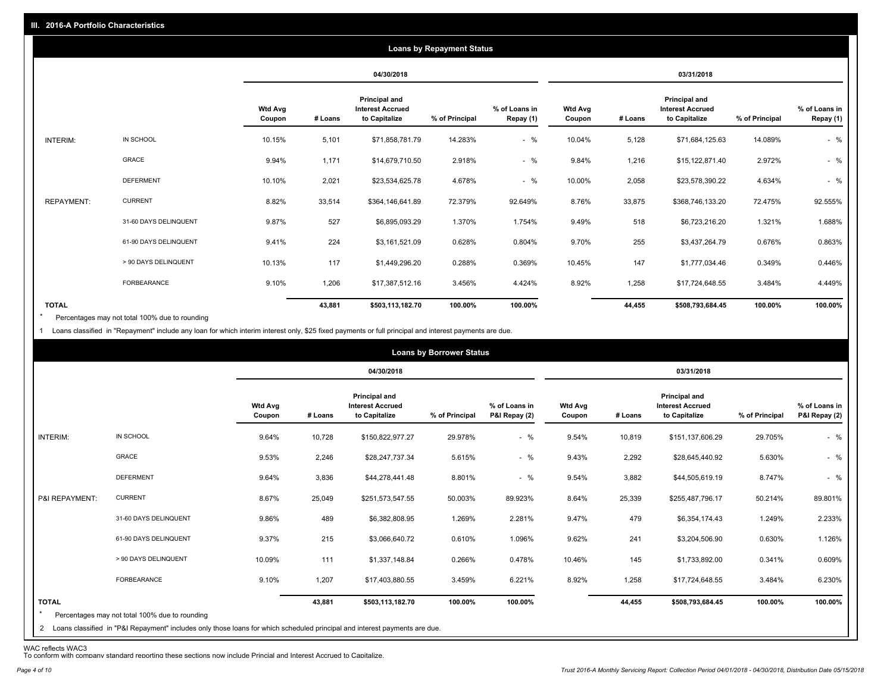|                   |                       |                          |         |                                                           | <b>Loans by Repayment Status</b> |                            |                          |         |                                                           |                |                            |
|-------------------|-----------------------|--------------------------|---------|-----------------------------------------------------------|----------------------------------|----------------------------|--------------------------|---------|-----------------------------------------------------------|----------------|----------------------------|
|                   |                       |                          |         | 04/30/2018                                                |                                  |                            |                          |         | 03/31/2018                                                |                |                            |
|                   |                       | <b>Wtd Avg</b><br>Coupon | # Loans | Principal and<br><b>Interest Accrued</b><br>to Capitalize | % of Principal                   | % of Loans in<br>Repay (1) | <b>Wtd Avg</b><br>Coupon | # Loans | Principal and<br><b>Interest Accrued</b><br>to Capitalize | % of Principal | % of Loans in<br>Repay (1) |
| INTERIM:          | IN SCHOOL             | 10.15%                   | 5,101   | \$71,858,781.79                                           | 14.283%                          | $-$ %                      | 10.04%                   | 5,128   | \$71,684,125.63                                           | 14.089%        | $-$ %                      |
|                   | GRACE                 | 9.94%                    | 1,171   | \$14,679,710.50                                           | 2.918%                           | $-$ %                      | 9.84%                    | 1,216   | \$15,122,871.40                                           | 2.972%         | $-$ %                      |
|                   | <b>DEFERMENT</b>      | 10.10%                   | 2,021   | \$23,534,625.78                                           | 4.678%                           | $-$ %                      | 10.00%                   | 2,058   | \$23,578,390.22                                           | 4.634%         | $-$ %                      |
| <b>REPAYMENT:</b> | <b>CURRENT</b>        | 8.82%                    | 33,514  | \$364,146,641.89                                          | 72.379%                          | 92.649%                    | 8.76%                    | 33,875  | \$368,746,133.20                                          | 72.475%        | 92.555%                    |
|                   | 31-60 DAYS DELINQUENT | 9.87%                    | 527     | \$6,895,093.29                                            | 1.370%                           | 1.754%                     | 9.49%                    | 518     | \$6,723,216.20                                            | 1.321%         | 1.688%                     |
|                   | 61-90 DAYS DELINQUENT | 9.41%                    | 224     | \$3,161,521.09                                            | 0.628%                           | 0.804%                     | 9.70%                    | 255     | \$3,437,264.79                                            | 0.676%         | 0.863%                     |
|                   | > 90 DAYS DELINQUENT  | 10.13%                   | 117     | \$1,449,296.20                                            | 0.288%                           | 0.369%                     | 10.45%                   | 147     | \$1,777,034.46                                            | 0.349%         | 0.446%                     |
|                   | FORBEARANCE           | 9.10%                    | 1,206   | \$17,387,512.16                                           | 3.456%                           | 4.424%                     | 8.92%                    | 1,258   | \$17,724,648.55                                           | 3.484%         | 4.449%                     |
| <b>TOTAL</b>      |                       |                          | 43,881  | \$503,113,182.70                                          | 100.00%                          | 100.00%                    |                          | 44,455  | \$508,793,684.45                                          | 100.00%        | 100.00%                    |

Percentages may not total 100% due to rounding \*

1 Loans classified in "Repayment" include any loan for which interim interest only, \$25 fixed payments or full principal and interest payments are due.

| IN SCHOOL<br>INTERIM:                                                                                                                                                                                     | <b>Wtd Avg</b><br>Coupon<br>9.64%<br>9.53% | # Loans<br>10,728 | 04/30/2018<br>Principal and<br><b>Interest Accrued</b><br>to Capitalize<br>\$150,822,977.27 | % of Principal | % of Loans in<br>P&I Repay (2) | <b>Wtd Avg</b><br>Coupon |         | 03/31/2018<br><b>Principal and</b><br><b>Interest Accrued</b> |                | % of Loans in |
|-----------------------------------------------------------------------------------------------------------------------------------------------------------------------------------------------------------|--------------------------------------------|-------------------|---------------------------------------------------------------------------------------------|----------------|--------------------------------|--------------------------|---------|---------------------------------------------------------------|----------------|---------------|
|                                                                                                                                                                                                           |                                            |                   |                                                                                             |                |                                |                          |         |                                                               |                |               |
|                                                                                                                                                                                                           |                                            |                   |                                                                                             |                |                                |                          | # Loans | to Capitalize                                                 | % of Principal | P&I Repay (2) |
|                                                                                                                                                                                                           |                                            |                   |                                                                                             | 29.978%        | $-$ %                          | 9.54%                    | 10,819  | \$151,137,606.29                                              | 29.705%        | $-$ %         |
| <b>GRACE</b>                                                                                                                                                                                              |                                            | 2,246             | \$28,247,737.34                                                                             | 5.615%         | $-$ %                          | 9.43%                    | 2,292   | \$28,645,440.92                                               | 5.630%         | $-$ %         |
| <b>DEFERMENT</b>                                                                                                                                                                                          | 9.64%                                      | 3,836             | \$44,278,441.48                                                                             | 8.801%         | $-$ %                          | 9.54%                    | 3,882   | \$44,505,619.19                                               | 8.747%         | $-$ %         |
| <b>CURRENT</b><br>P&I REPAYMENT:                                                                                                                                                                          | 8.67%                                      | 25,049            | \$251,573,547.55                                                                            | 50.003%        | 89.923%                        | 8.64%                    | 25,339  | \$255,487,796.17                                              | 50.214%        | 89.801%       |
| 31-60 DAYS DELINQUENT                                                                                                                                                                                     | 9.86%                                      | 489               | \$6,382,808.95                                                                              | 1.269%         | 2.281%                         | 9.47%                    | 479     | \$6,354,174.43                                                | 1.249%         | 2.233%        |
| 61-90 DAYS DELINQUENT                                                                                                                                                                                     | 9.37%                                      | 215               | \$3,066,640.72                                                                              | 0.610%         | 1.096%                         | 9.62%                    | 241     | \$3,204,506.90                                                | 0.630%         | 1.126%        |
| > 90 DAYS DELINQUENT                                                                                                                                                                                      | 10.09%                                     | 111               | \$1,337,148.84                                                                              | 0.266%         | 0.478%                         | 10.46%                   | 145     | \$1,733,892.00                                                | 0.341%         | 0.609%        |
| FORBEARANCE                                                                                                                                                                                               | 9.10%                                      | 1,207             | \$17,403,880.55                                                                             | 3.459%         | 6.221%                         | 8.92%                    | 1,258   | \$17,724,648.55                                               | 3.484%         | 6.230%        |
| <b>TOTAL</b><br>$\star$<br>Percentages may not total 100% due to rounding<br>2 Loans classified in "P&I Repayment" includes only those loans for which scheduled principal and interest payments are due. |                                            | 43,881            | \$503,113,182.70                                                                            | 100.00%        | 100.00%                        |                          | 44,455  | \$508,793,684.45                                              | 100.00%        | 100.00%       |

WAC reflects WAC3 To conform with company standard reporting these sections now include Princial and Interest Accrued to Capitalize.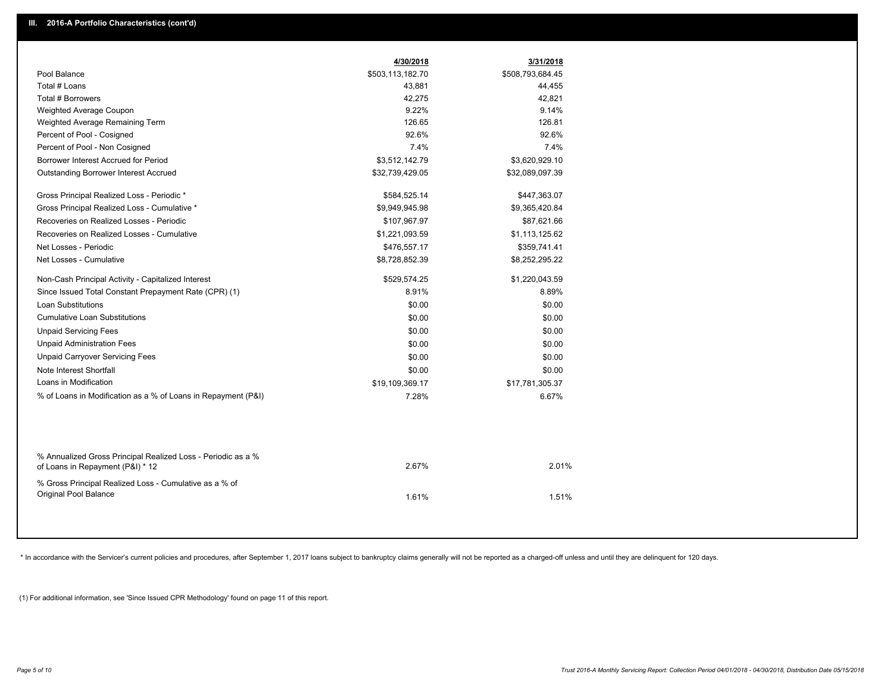|                                                                                                  | 4/30/2018        | 3/31/2018        |  |
|--------------------------------------------------------------------------------------------------|------------------|------------------|--|
| Pool Balance                                                                                     | \$503,113,182.70 | \$508,793,684.45 |  |
| Total # Loans                                                                                    | 43,881           | 44,455           |  |
| Total # Borrowers                                                                                | 42,275           | 42,821           |  |
| Weighted Average Coupon                                                                          | 9.22%            | 9.14%            |  |
| Weighted Average Remaining Term                                                                  | 126.65           | 126.81           |  |
| Percent of Pool - Cosigned                                                                       | 92.6%            | 92.6%            |  |
| Percent of Pool - Non Cosigned                                                                   | 7.4%             | 7.4%             |  |
| Borrower Interest Accrued for Period                                                             | \$3,512,142.79   | \$3,620,929.10   |  |
| <b>Outstanding Borrower Interest Accrued</b>                                                     | \$32,739,429.05  | \$32,089,097.39  |  |
| Gross Principal Realized Loss - Periodic *                                                       | \$584,525.14     | \$447,363.07     |  |
| Gross Principal Realized Loss - Cumulative *                                                     | \$9,949,945.98   | \$9,365,420.84   |  |
| Recoveries on Realized Losses - Periodic                                                         | \$107,967.97     | \$87,621.66      |  |
| Recoveries on Realized Losses - Cumulative                                                       | \$1,221,093.59   | \$1,113,125.62   |  |
| Net Losses - Periodic                                                                            | \$476,557.17     | \$359,741.41     |  |
| Net Losses - Cumulative                                                                          | \$8,728,852.39   | \$8,252,295.22   |  |
| Non-Cash Principal Activity - Capitalized Interest                                               | \$529,574.25     | \$1,220,043.59   |  |
| Since Issued Total Constant Prepayment Rate (CPR) (1)                                            | 8.91%            | 8.89%            |  |
| Loan Substitutions                                                                               | \$0.00           | \$0.00           |  |
| <b>Cumulative Loan Substitutions</b>                                                             | \$0.00           | \$0.00           |  |
| <b>Unpaid Servicing Fees</b>                                                                     | \$0.00           | \$0.00           |  |
| <b>Unpaid Administration Fees</b>                                                                | \$0.00           | \$0.00           |  |
| <b>Unpaid Carryover Servicing Fees</b>                                                           | \$0.00           | \$0.00           |  |
| Note Interest Shortfall                                                                          | \$0.00           | \$0.00           |  |
| Loans in Modification                                                                            | \$19,109,369.17  | \$17,781,305.37  |  |
| % of Loans in Modification as a % of Loans in Repayment (P&I)                                    | 7.28%            | 6.67%            |  |
|                                                                                                  |                  |                  |  |
| % Annualized Gross Principal Realized Loss - Periodic as a %<br>of Loans in Repayment (P&I) * 12 | 2.67%            | 2.01%            |  |
| % Gross Principal Realized Loss - Cumulative as a % of<br>Original Pool Balance                  | 1.61%            | 1.51%            |  |

\* In accordance with the Servicer's current policies and procedures, after September 1, 2017 loans subject to bankruptcy claims generally will not be reported as a charged-off unless and until they are delinquent for 120 d

(1) For additional information, see 'Since Issued CPR Methodology' found on page 11 of this report.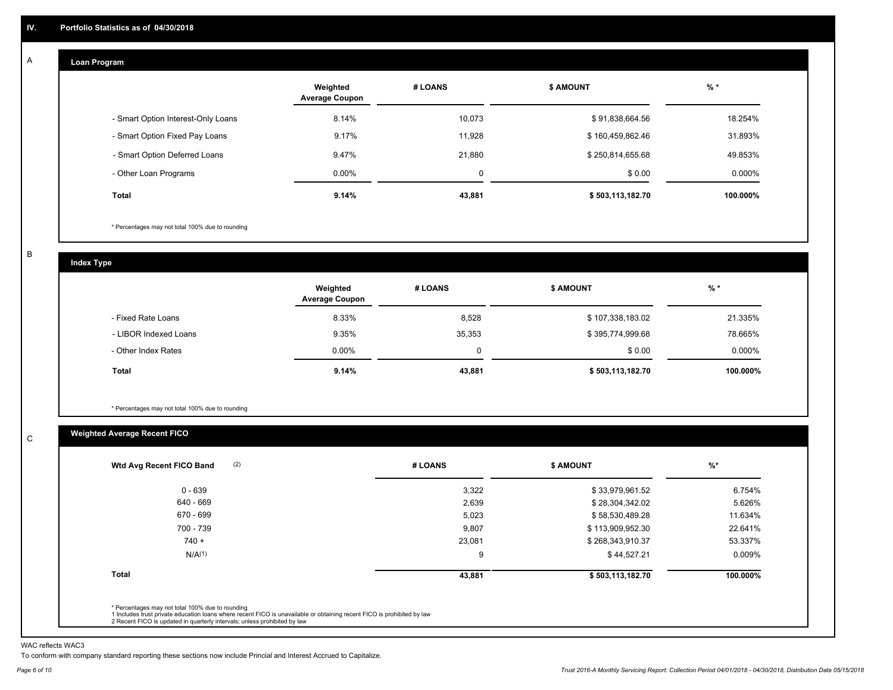#### **Loan Program**  A

|                                    | Weighted<br><b>Average Coupon</b> | # LOANS | <b>\$ AMOUNT</b> | $%$ *     |
|------------------------------------|-----------------------------------|---------|------------------|-----------|
| - Smart Option Interest-Only Loans | 8.14%                             | 10,073  | \$91,838,664.56  | 18.254%   |
| - Smart Option Fixed Pay Loans     | 9.17%                             | 11.928  | \$160,459,862.46 | 31.893%   |
| - Smart Option Deferred Loans      | 9.47%                             | 21.880  | \$250,814,655.68 | 49.853%   |
| - Other Loan Programs              | $0.00\%$                          | 0       | \$0.00           | $0.000\%$ |
| <b>Total</b>                       | 9.14%                             | 43,881  | \$503,113,182.70 | 100.000%  |

\* Percentages may not total 100% due to rounding

B

C

**Index Type**

|                       | Weighted<br><b>Average Coupon</b> | # LOANS | <b>\$ AMOUNT</b> | $%$ *    |
|-----------------------|-----------------------------------|---------|------------------|----------|
| - Fixed Rate Loans    | 8.33%                             | 8,528   | \$107,338,183.02 | 21.335%  |
| - LIBOR Indexed Loans | 9.35%                             | 35,353  | \$395,774,999.68 | 78.665%  |
| - Other Index Rates   | $0.00\%$                          |         | \$0.00           | 0.000%   |
| <b>Total</b>          | 9.14%                             | 43,881  | \$503,113,182.70 | 100.000% |

\* Percentages may not total 100% due to rounding

### **Weighted Average Recent FICO**

| Wtd Avg Recent FICO Band | # LOANS | <b>S AMOUNT</b>  | $%$ *     |
|--------------------------|---------|------------------|-----------|
| $0 - 639$                | 3,322   | \$33,979,961.52  | 6.754%    |
| 640 - 669                | 2,639   | \$28,304,342.02  | 5.626%    |
| 670 - 699                | 5,023   | \$58,530,489.28  | 11.634%   |
| 700 - 739                | 9,807   | \$113,909,952.30 | 22.641%   |
| $740 +$                  | 23,081  | \$268,343,910.37 | 53.337%   |
| N/A <sup>(1)</sup>       | 9       | \$44,527.21      | $0.009\%$ |
| <b>Total</b>             | 43,881  | \$503,113,182.70 | 100.000%  |

WAC reflects WAC3

To conform with company standard reporting these sections now include Princial and Interest Accrued to Capitalize.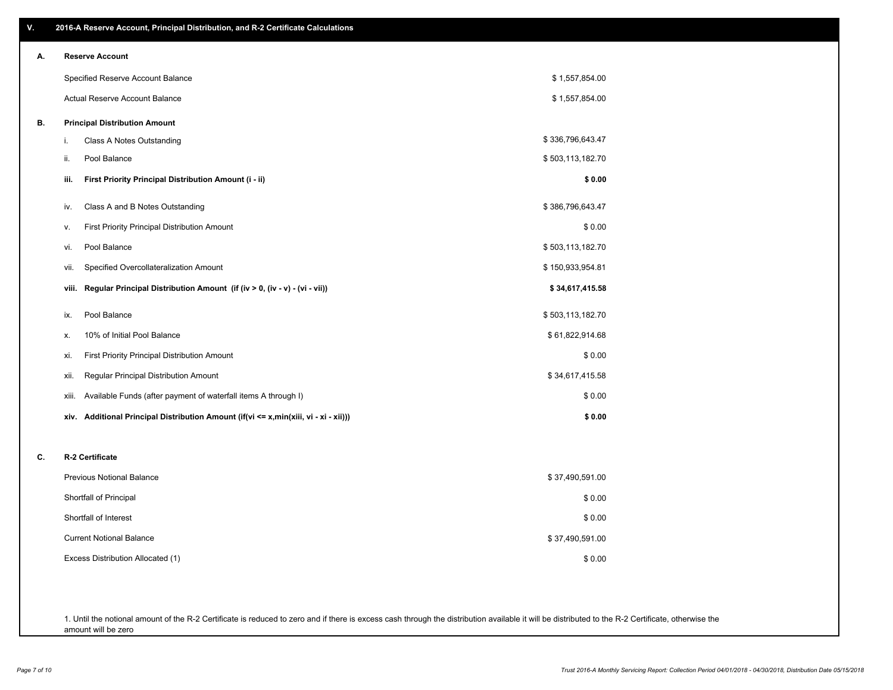| ۷. | 2016-A Reserve Account, Principal Distribution, and R-2 Certificate Calculations     |                  |
|----|--------------------------------------------------------------------------------------|------------------|
| А. | <b>Reserve Account</b>                                                               |                  |
|    | Specified Reserve Account Balance                                                    | \$1,557,854.00   |
|    | <b>Actual Reserve Account Balance</b>                                                | \$1,557,854.00   |
| В. | <b>Principal Distribution Amount</b>                                                 |                  |
|    | i.<br>Class A Notes Outstanding                                                      | \$336,796,643.47 |
|    | Pool Balance<br>ii.                                                                  | \$503,113,182.70 |
|    | First Priority Principal Distribution Amount (i - ii)<br>iii.                        | \$0.00           |
|    | Class A and B Notes Outstanding<br>iv.                                               | \$386,796,643.47 |
|    | First Priority Principal Distribution Amount<br>۷.                                   | \$0.00           |
|    | Pool Balance<br>vi.                                                                  | \$503,113,182.70 |
|    | Specified Overcollateralization Amount<br>VII.                                       | \$150,933,954.81 |
|    | Regular Principal Distribution Amount (if (iv > 0, (iv - v) - (vi - vii))<br>viii.   | \$34,617,415.58  |
|    | Pool Balance<br>ix.                                                                  | \$503,113,182.70 |
|    | 10% of Initial Pool Balance<br>х.                                                    | \$61,822,914.68  |
|    | First Priority Principal Distribution Amount<br>xi.                                  | \$0.00           |
|    | Regular Principal Distribution Amount<br>xii.                                        | \$34,617,415.58  |
|    | Available Funds (after payment of waterfall items A through I)<br>xiii.              | \$0.00           |
|    | xiv. Additional Principal Distribution Amount (if(vi <= x,min(xiii, vi - xi - xii))) | \$0.00           |
| C. | R-2 Certificate                                                                      |                  |
|    | Previous Notional Balance                                                            | \$37,490,591.00  |
|    | Shortfall of Principal                                                               | \$0.00           |
|    | Shortfall of Interest                                                                | \$0.00           |
|    | <b>Current Notional Balance</b>                                                      | \$37,490,591.00  |
|    | Excess Distribution Allocated (1)                                                    | \$0.00           |
|    |                                                                                      |                  |
|    |                                                                                      |                  |

1. Until the notional amount of the R-2 Certificate is reduced to zero and if there is excess cash through the distribution available it will be distributed to the R-2 Certificate, otherwise the amount will be zero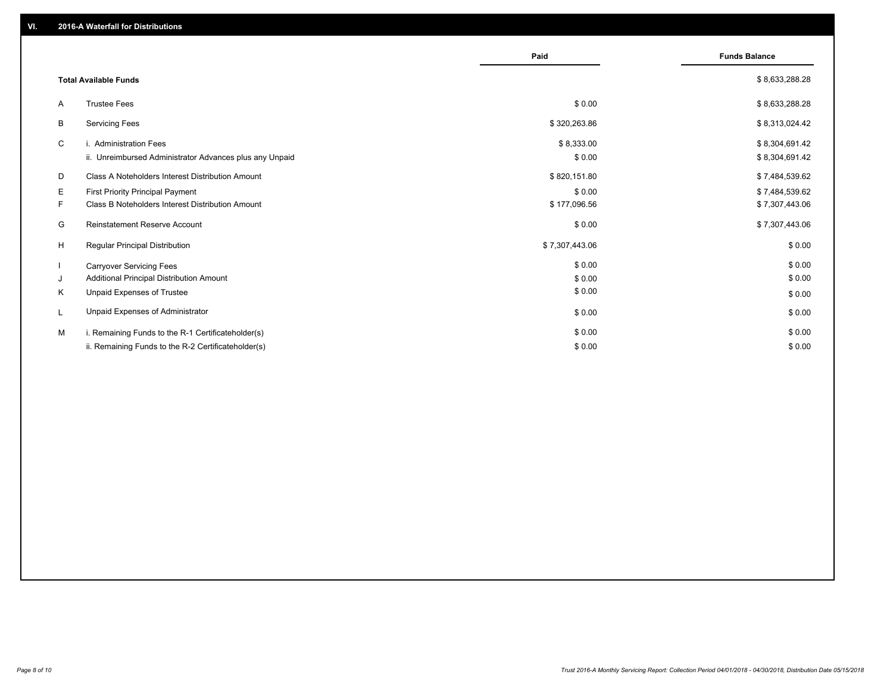|    |                                                         | Paid           | <b>Funds Balance</b> |
|----|---------------------------------------------------------|----------------|----------------------|
|    | <b>Total Available Funds</b>                            |                | \$8,633,288.28       |
| A  | <b>Trustee Fees</b>                                     | \$0.00         | \$8,633,288.28       |
| B  | <b>Servicing Fees</b>                                   | \$320,263.86   | \$8,313,024.42       |
| C  | i. Administration Fees                                  | \$8,333.00     | \$8,304,691.42       |
|    | ii. Unreimbursed Administrator Advances plus any Unpaid | \$0.00         | \$8,304,691.42       |
| D  | Class A Noteholders Interest Distribution Amount        | \$820,151.80   | \$7,484,539.62       |
| Е  | <b>First Priority Principal Payment</b>                 | \$0.00         | \$7,484,539.62       |
| F. | Class B Noteholders Interest Distribution Amount        | \$177,096.56   | \$7,307,443.06       |
| G  | Reinstatement Reserve Account                           | \$0.00         | \$7,307,443.06       |
| H  | <b>Regular Principal Distribution</b>                   | \$7,307,443.06 | \$0.00               |
|    | <b>Carryover Servicing Fees</b>                         | \$0.00         | \$0.00               |
| J  | Additional Principal Distribution Amount                | \$0.00         | \$0.00               |
| K  | Unpaid Expenses of Trustee                              | \$0.00         | \$0.00               |
|    | Unpaid Expenses of Administrator                        | \$0.00         | \$0.00               |
| м  | i. Remaining Funds to the R-1 Certificateholder(s)      | \$0.00         | \$0.00               |
|    | ii. Remaining Funds to the R-2 Certificateholder(s)     | \$0.00         | \$0.00               |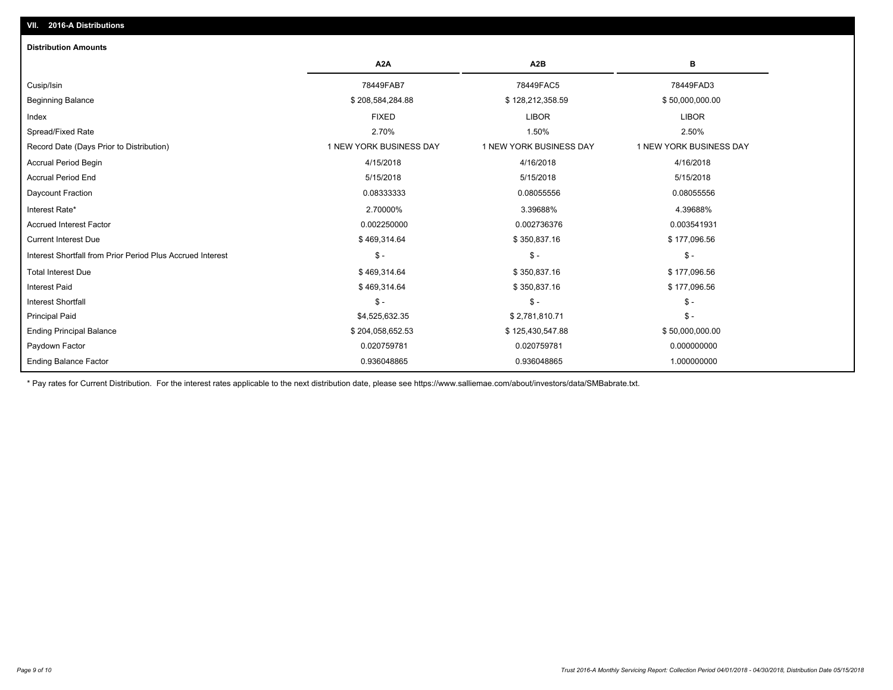| <b>Distribution Amounts</b>                                |                         |                         |                         |
|------------------------------------------------------------|-------------------------|-------------------------|-------------------------|
|                                                            | A <sub>2</sub> A        | A <sub>2</sub> B        | в                       |
| Cusip/Isin                                                 | 78449FAB7               | 78449FAC5               | 78449FAD3               |
| <b>Beginning Balance</b>                                   | \$208,584,284.88        | \$128,212,358.59        | \$50,000,000.00         |
| Index                                                      | <b>FIXED</b>            | <b>LIBOR</b>            | <b>LIBOR</b>            |
| Spread/Fixed Rate                                          | 2.70%                   | 1.50%                   | 2.50%                   |
| Record Date (Days Prior to Distribution)                   | 1 NEW YORK BUSINESS DAY | 1 NEW YORK BUSINESS DAY | 1 NEW YORK BUSINESS DAY |
| <b>Accrual Period Begin</b>                                | 4/15/2018               | 4/16/2018               | 4/16/2018               |
| <b>Accrual Period End</b>                                  | 5/15/2018               | 5/15/2018               | 5/15/2018               |
| Daycount Fraction                                          | 0.08333333              | 0.08055556              | 0.08055556              |
| Interest Rate*                                             | 2.70000%                | 3.39688%                | 4.39688%                |
| <b>Accrued Interest Factor</b>                             | 0.002250000             | 0.002736376             | 0.003541931             |
| <b>Current Interest Due</b>                                | \$469,314.64            | \$350,837.16            | \$177,096.56            |
| Interest Shortfall from Prior Period Plus Accrued Interest | $\frac{2}{3}$ -         | $S -$                   | $\mathcal{S}$ -         |
| <b>Total Interest Due</b>                                  | \$469,314.64            | \$350,837.16            | \$177,096.56            |
| <b>Interest Paid</b>                                       | \$469,314.64            | \$350,837.16            | \$177,096.56            |
| <b>Interest Shortfall</b>                                  | $S -$                   | $S -$                   | $\mathcal{S}$ -         |
| <b>Principal Paid</b>                                      | \$4,525,632.35          | \$2,781,810.71          | $\mathsf{\$}$ -         |
| <b>Ending Principal Balance</b>                            | \$204,058,652.53        | \$125,430,547.88        | \$50,000,000.00         |
| Paydown Factor                                             | 0.020759781             | 0.020759781             | 0.000000000             |
| <b>Ending Balance Factor</b>                               | 0.936048865             | 0.936048865             | 1.000000000             |

\* Pay rates for Current Distribution. For the interest rates applicable to the next distribution date, please see https://www.salliemae.com/about/investors/data/SMBabrate.txt.

**VII. 2016-A Distributions**